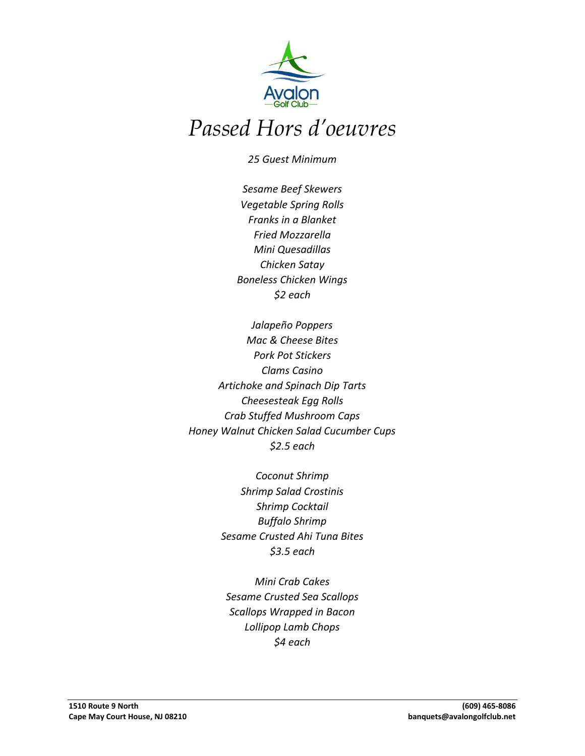

# *Passed Hors d'oeuvres*

*25 Guest Minimum*

*Sesame Beef Skewers Vegetable Spring Rolls Franks in a Blanket Fried Mozzarella Mini Quesadillas Chicken Satay Boneless Chicken Wings \$2 each*

*Jalapeño Poppers Mac & Cheese Bites Pork Pot Stickers Clams Casino Artichoke and Spinach Dip Tarts Cheesesteak Egg Rolls Crab Stuffed Mushroom Caps Honey Walnut Chicken Salad Cucumber Cups \$2.5 each*

> *Coconut Shrimp Shrimp Salad Crostinis Shrimp Cocktail Buffalo Shrimp Sesame Crusted Ahi Tuna Bites \$3.5 each*

*Mini Crab Cakes Sesame Crusted Sea Scallops Scallops Wrapped in Bacon Lollipop Lamb Chops \$4 each*